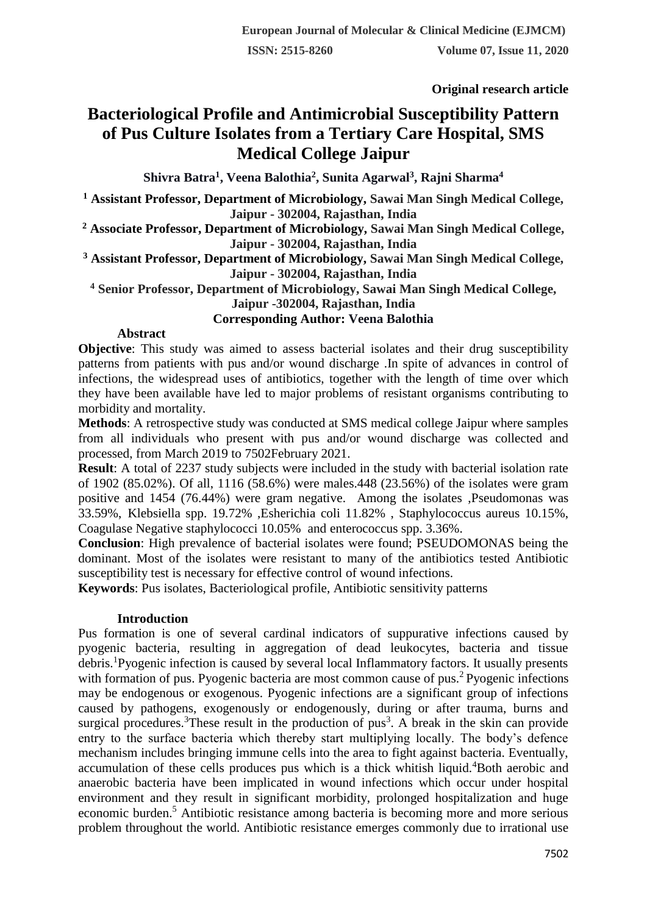**Original research article** 

# **Bacteriological Profile and Antimicrobial Susceptibility Pattern of Pus Culture Isolates from a Tertiary Care Hospital, SMS Medical College Jaipur**

**Shivra Batra<sup>1</sup> , Veena Balothia<sup>2</sup> , Sunita Agarwal<sup>3</sup> , Rajni Sharma<sup>4</sup>**

**<sup>1</sup> Assistant Professor, Department of Microbiology, Sawai Man Singh Medical College, Jaipur - 302004, Rajasthan, India**

**<sup>2</sup> Associate Professor, Department of Microbiology, Sawai Man Singh Medical College, Jaipur - 302004, Rajasthan, India**

**<sup>3</sup> Assistant Professor, Department of Microbiology, Sawai Man Singh Medical College, Jaipur - 302004, Rajasthan, India**

**<sup>4</sup> Senior Professor, Department of Microbiology, Sawai Man Singh Medical College,** 

**Jaipur -302004, Rajasthan, India**

**Corresponding Author: Veena Balothia**

## **Abstract**

**Objective**: This study was aimed to assess bacterial isolates and their drug susceptibility patterns from patients with pus and/or wound discharge .In spite of advances in control of infections, the widespread uses of antibiotics, together with the length of time over which they have been available have led to major problems of resistant organisms contributing to morbidity and mortality.

**Methods**: A retrospective study was conducted at SMS medical college Jaipur where samples from all individuals who present with pus and/or wound discharge was collected and processed, from March 2019 to 7502February 2021.

**Result:** A total of 2237 study subjects were included in the study with bacterial isolation rate of 1902 (85.02%). Of all, 1116 (58.6%) were males.448 (23.56%) of the isolates were gram positive and 1454 (76.44%) were gram negative. Among the isolates ,Pseudomonas was 33.59%, Klebsiella spp. 19.72% ,Esherichia coli 11.82% , Staphylococcus aureus 10.15%, Coagulase Negative staphylococci 10.05% and enterococcus spp. 3.36%.

**Conclusion**: High prevalence of bacterial isolates were found; PSEUDOMONAS being the dominant. Most of the isolates were resistant to many of the antibiotics tested Antibiotic susceptibility test is necessary for effective control of wound infections.

**Keywords**: Pus isolates, Bacteriological profile, Antibiotic sensitivity patterns

#### **Introduction**

Pus formation is one of several cardinal indicators of suppurative infections caused by pyogenic bacteria, resulting in aggregation of dead leukocytes, bacteria and tissue debris.<sup>1</sup>Pyogenic infection is caused by several local Inflammatory factors. It usually presents with formation of pus. Pyogenic bacteria are most common cause of pus.<sup>2</sup> Pyogenic infections may be endogenous or exogenous. Pyogenic infections are a significant group of infections caused by pathogens, exogenously or endogenously, during or after trauma, burns and surgical procedures.<sup>3</sup>These result in the production of  $pus<sup>3</sup>$ . A break in the skin can provide entry to the surface bacteria which thereby start multiplying locally. The body's defence mechanism includes bringing immune cells into the area to fight against bacteria. Eventually, accumulation of these cells produces pus which is a thick whitish liquid.<sup>4</sup>Both aerobic and anaerobic bacteria have been implicated in wound infections which occur under hospital environment and they result in significant morbidity, prolonged hospitalization and huge economic burden.<sup>5</sup> Antibiotic resistance among bacteria is becoming more and more serious problem throughout the world. Antibiotic resistance emerges commonly due to irrational use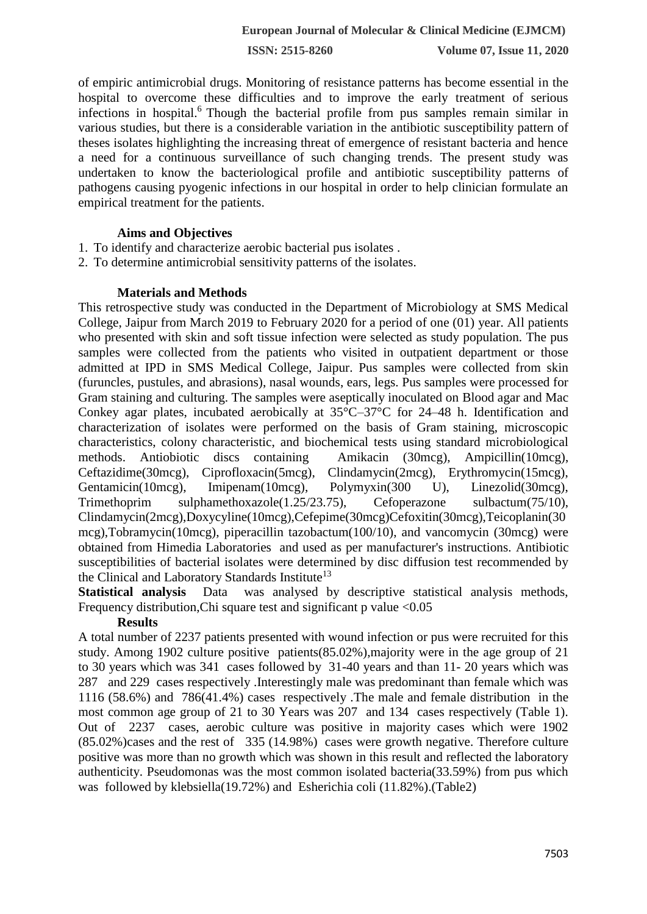**ISSN: 2515-8260 Volume 07, Issue 11, 2020**

of empiric antimicrobial drugs. Monitoring of resistance patterns has become essential in the hospital to overcome these difficulties and to improve the early treatment of serious infections in hospital.<sup>6</sup> Though the bacterial profile from pus samples remain similar in various studies, but there is a considerable variation in the antibiotic susceptibility pattern of theses isolates highlighting the increasing threat of emergence of resistant bacteria and hence a need for a continuous surveillance of such changing trends. The present study was undertaken to know the bacteriological profile and antibiotic susceptibility patterns of pathogens causing pyogenic infections in our hospital in order to help clinician formulate an empirical treatment for the patients.

## **Aims and Objectives**

- 1. To identify and characterize aerobic bacterial pus isolates .
- 2. To determine antimicrobial sensitivity patterns of the isolates.

## **Materials and Methods**

This retrospective study was conducted in the Department of Microbiology at SMS Medical College, Jaipur from March 2019 to February 2020 for a period of one (01) year. All patients who presented with skin and soft tissue infection were selected as study population. The pus samples were collected from the patients who visited in outpatient department or those admitted at IPD in SMS Medical College, Jaipur. Pus samples were collected from skin (furuncles, pustules, and abrasions), nasal wounds, ears, legs. Pus samples were processed for Gram staining and culturing. The samples were aseptically inoculated on Blood agar and Mac Conkey agar plates, incubated aerobically at 35°C–37°C for 24–48 h. Identification and characterization of isolates were performed on the basis of Gram staining, microscopic characteristics, colony characteristic, and biochemical tests using standard microbiological methods. Antiobiotic discs containing Amikacin (30mcg), Ampicillin(10mcg), Ceftazidime(30mcg), Ciprofloxacin(5mcg), Clindamycin(2mcg), Erythromycin(15mcg), Gentamicin(10mcg), Imipenam(10mcg), Polymyxin(300 U), Linezolid(30mcg), Trimethoprim sulphamethoxazole(1.25/23.75), Cefoperazone sulbactum(75/10), Clindamycin(2mcg),Doxycyline(10mcg),Cefepime(30mcg)Cefoxitin(30mcg),Teicoplanin(30 mcg),Tobramycin(10mcg), piperacillin tazobactum(100/10), and vancomycin (30mcg) were obtained from Himedia Laboratories and used as per manufacturer's instructions. Antibiotic susceptibilities of bacterial isolates were determined by disc diffusion test recommended by the Clinical and Laboratory Standards Institute<sup>13</sup>

**Statistical analysis** Data was analysed by descriptive statistical analysis methods, Frequency distribution, Chi square test and significant p value <0.05

## **Results**

A total number of 2237 patients presented with wound infection or pus were recruited for this study. Among 1902 culture positive patients(85.02%),majority were in the age group of 21 to 30 years which was 341 cases followed by 31-40 years and than 11- 20 years which was 287 and 229 cases respectively .Interestingly male was predominant than female which was 1116 (58.6%) and 786(41.4%) cases respectively .The male and female distribution in the most common age group of 21 to 30 Years was 207 and 134 cases respectively (Table 1). Out of 2237 cases, aerobic culture was positive in majority cases which were 1902 (85.02%)cases and the rest of 335 (14.98%) cases were growth negative. Therefore culture positive was more than no growth which was shown in this result and reflected the laboratory authenticity. Pseudomonas was the most common isolated bacteria(33.59%) from pus which was followed by klebsiella(19.72%) and Esherichia coli (11.82%).(Table2)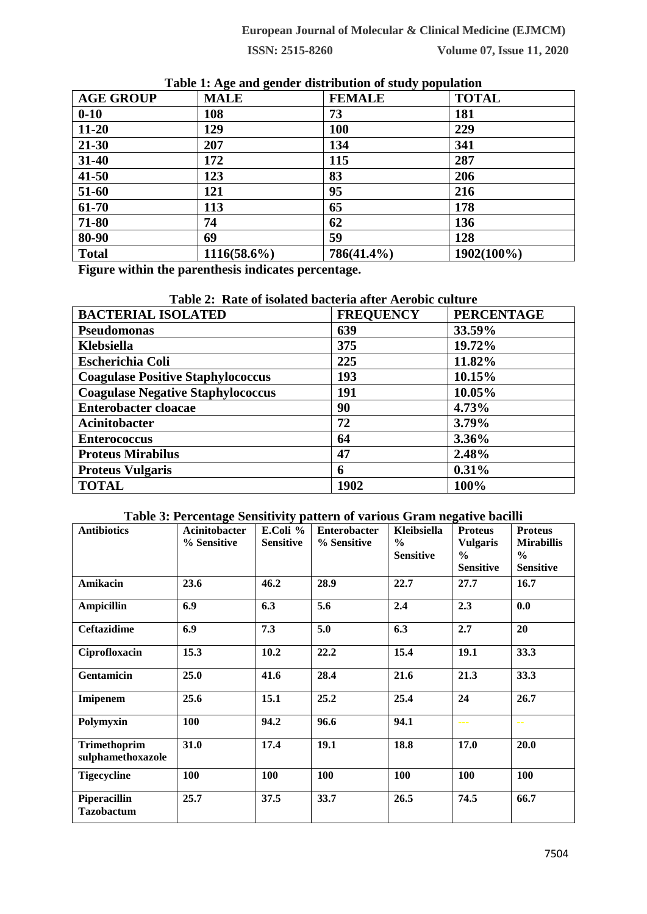**European Journal of Molecular & Clinical Medicine (EJMCM)**

**ISSN: 2515-8260 Volume 07, Issue 11, 2020**

| <b>AGE GROUP</b> | <b>MALE</b>    | <b>FEMALE</b> | <b>TOTAL</b> |
|------------------|----------------|---------------|--------------|
| $0 - 10$         | 108            | 73            | 181          |
| $11 - 20$        | 129            | <b>100</b>    | 229          |
| $21 - 30$        | 207            | 134           | 341          |
| $31 - 40$        | 172            | 115           | 287          |
| $41 - 50$        | 123            | 83            | 206          |
| 51-60            | 121            | 95            | 216          |
| 61-70            | 113            | 65            | 178          |
| 71-80            | 74             | 62            | 136          |
| 80-90            | 69             | 59            | 128          |
| <b>Total</b>     | $1116(58.6\%)$ | 786(41.4%)    | 1902(100%)   |

**Table 1: Age and gender distribution of study population**

**Figure within the parenthesis indicates percentage.**

# **Table 2: Rate of isolated bacteria after Aerobic culture**

| <b>BACTERIAL ISOLATED</b>                | <b>FREQUENCY</b> | <b>PERCENTAGE</b> |
|------------------------------------------|------------------|-------------------|
| <b>Pseudomonas</b>                       | 639              | 33.59%            |
| Klebsiella                               | 375              | 19.72%            |
| <b>Escherichia Coli</b>                  | 225              | 11.82%            |
| <b>Coagulase Positive Staphylococcus</b> | 193              | 10.15%            |
| <b>Coagulase Negative Staphylococcus</b> | 191              | 10.05%            |
| <b>Enterobacter cloacae</b>              | 90               | 4.73%             |
| <b>Acinitobacter</b>                     | 72               | 3.79%             |
| <b>Enterococcus</b>                      | 64               | 3.36%             |
| <b>Proteus Mirabilus</b>                 | 47               | 2.48%             |
| <b>Proteus Vulgaris</b>                  | 6                | 0.31%             |
| <b>TOTAL</b>                             | 1902             | 100%              |

## **Table 3: Percentage Sensitivity pattern of various Gram negative bacilli**

| <b>Antibiotics</b>                       | ັ<br><b>Acinitobacter</b> | . .<br>E.Coli %  | <b>Enterobacter</b> | Kleibsiella      | <b>Proteus</b>   | <b>Proteus</b>    |
|------------------------------------------|---------------------------|------------------|---------------------|------------------|------------------|-------------------|
|                                          | % Sensitive               | <b>Sensitive</b> | % Sensitive         | $\frac{6}{6}$    | <b>Vulgaris</b>  | <b>Mirabillis</b> |
|                                          |                           |                  |                     | <b>Sensitive</b> | $\frac{0}{0}$    | $\frac{6}{10}$    |
|                                          |                           |                  |                     |                  | <b>Sensitive</b> | <b>Sensitive</b>  |
| <b>Amikacin</b>                          | 23.6                      | 46.2             | 28.9                | 22.7             | 27.7             | 16.7              |
| <b>Ampicillin</b>                        | 6.9                       | 6.3              | 5.6                 | 2.4              | 2.3              | 0.0               |
| <b>Ceftazidime</b>                       | 6.9                       | 7.3              | 5.0                 | 6.3              | 2.7              | 20                |
| Ciprofloxacin                            | 15.3                      | 10.2             | 22.2                | 15.4             | 19.1             | 33.3              |
| <b>Gentamicin</b>                        | 25.0                      | 41.6             | 28.4                | 21.6             | 21.3             | 33.3              |
| Imipenem                                 | 25.6                      | 15.1             | 25.2                | 25.4             | 24               | 26.7              |
| Polymyxin                                | 100                       | 94.2             | 96.6                | 94.1             | ---              | $\sim$            |
| <b>Trimethoprim</b><br>sulphamethoxazole | 31.0                      | 17.4             | 19.1                | 18.8             | 17.0             | 20.0              |
| <b>Tigecycline</b>                       | 100                       | 100              | 100                 | 100              | 100              | 100               |
| Piperacillin<br><b>Tazobactum</b>        | 25.7                      | 37.5             | 33.7                | 26.5             | 74.5             | 66.7              |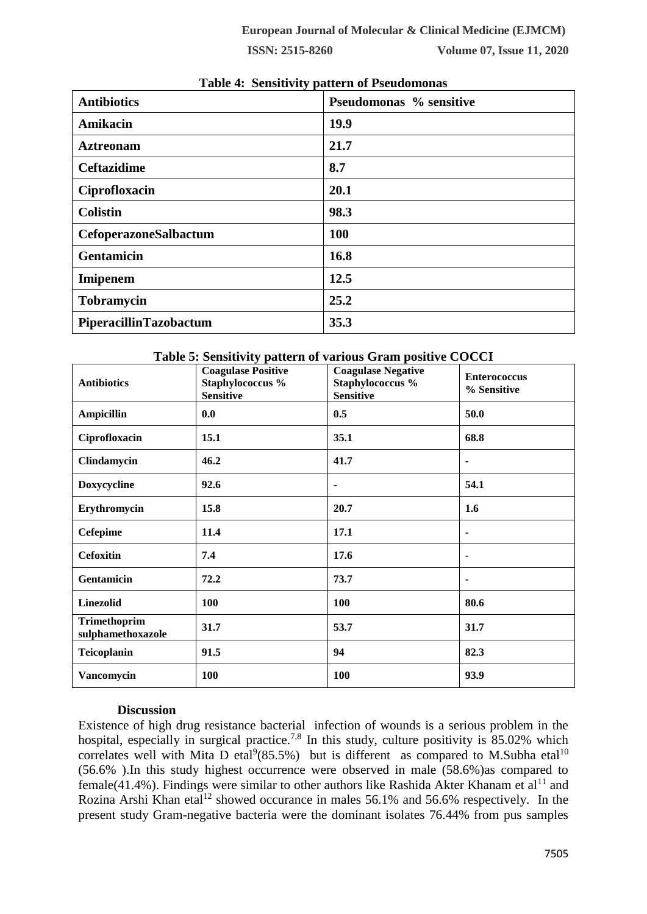|                        | . .                     |
|------------------------|-------------------------|
| <b>Antibiotics</b>     | Pseudomonas % sensitive |
| Amikacin               | 19.9                    |
| <b>Aztreonam</b>       | 21.7                    |
| <b>Ceftazidime</b>     | 8.7                     |
| Ciprofloxacin          | 20.1                    |
| <b>Colistin</b>        | 98.3                    |
| CefoperazoneSalbactum  | <b>100</b>              |
| <b>Gentamicin</b>      | 16.8                    |
| Imipenem               | 12.5                    |
| <b>Tobramycin</b>      | 25.2                    |
| PiperacillinTazobactum | 35.3                    |

## **Table 4: Sensitivity pattern of Pseudomonas**

| <b>Antibiotics</b>                | <b>Coagulase Positive</b><br>Staphylococcus %<br><b>Sensitive</b> | Table of behold thy pattern of various Gram positive COCCI<br><b>Coagulase Negative</b><br>Staphylococcus %<br><b>Sensitive</b> | <b>Enterococcus</b><br>% Sensitive |
|-----------------------------------|-------------------------------------------------------------------|---------------------------------------------------------------------------------------------------------------------------------|------------------------------------|
| <b>Ampicillin</b>                 | 0.0                                                               | 0.5                                                                                                                             | 50.0                               |
| Ciprofloxacin                     | 15.1                                                              | 35.1                                                                                                                            | 68.8                               |
| Clindamycin                       | 46.2                                                              | 41.7                                                                                                                            | $\blacksquare$                     |
| Doxycycline                       | 92.6                                                              | ۰                                                                                                                               | 54.1                               |
| Erythromycin                      | 15.8                                                              | 20.7                                                                                                                            | 1.6                                |
| <b>Cefepime</b>                   | 11.4                                                              | 17.1                                                                                                                            | ٠                                  |
| <b>Cefoxitin</b>                  | 7.4                                                               | 17.6                                                                                                                            |                                    |
| Gentamicin                        | 72.2                                                              | 73.7                                                                                                                            | ٠                                  |
| <b>Linezolid</b>                  | 100                                                               | 100                                                                                                                             | 80.6                               |
| Trimethoprim<br>sulphamethoxazole | 31.7                                                              | 53.7                                                                                                                            | 31.7                               |
| Teicoplanin                       | 91.5                                                              | 94                                                                                                                              | 82.3                               |
| Vancomycin                        | 100                                                               | 100                                                                                                                             | 93.9                               |

# **Table 5: Sensitivity pattern of various Gram positive COCCI**

#### **Discussion**

Existence of high drug resistance bacterial infection of wounds is a serious problem in the hospital, especially in surgical practice.<sup>7,8</sup> In this study, culture positivity is 85.02% which correlates well with Mita D etal<sup>9</sup>(85.5%) but is different as compared to M.Subha etal<sup>10</sup> (56.6% ).In this study highest occurrence were observed in male (58.6%)as compared to female(41.4%). Findings were similar to other authors like Rashida Akter Khanam et al<sup>11</sup> and Rozina Arshi Khan etal<sup>12</sup> showed occurance in males  $56.1\%$  and  $56.6\%$  respectively. In the present study Gram-negative bacteria were the dominant isolates 76.44% from pus samples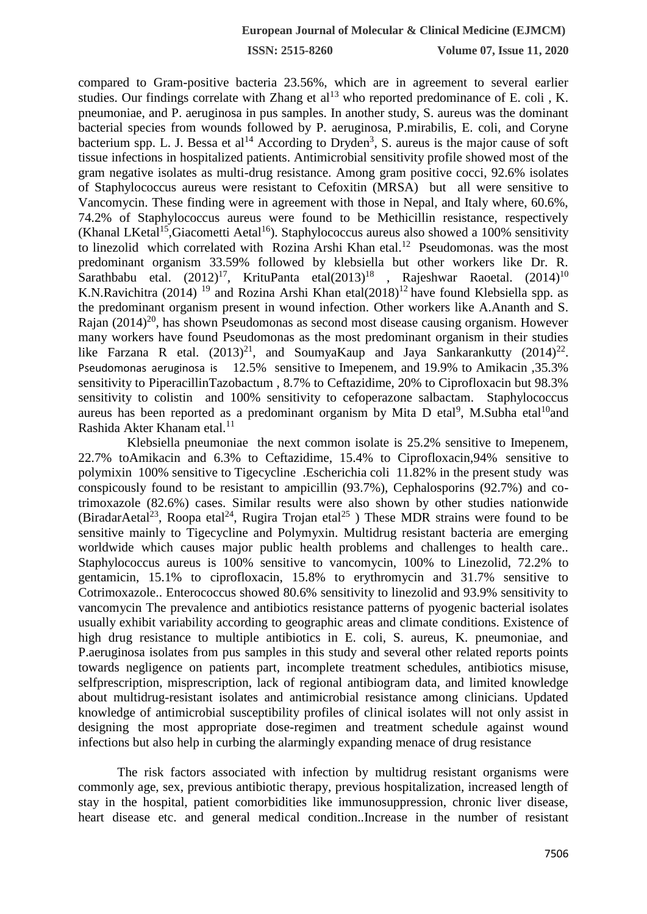**ISSN: 2515-8260 Volume 07, Issue 11, 2020**

compared to Gram-positive bacteria 23.56%, which are in agreement to several earlier studies. Our findings correlate with Zhang et  $al<sup>13</sup>$  who reported predominance of E. coli , K. pneumoniae, and P. aeruginosa in pus samples. In another study, S. aureus was the dominant bacterial species from wounds followed by P. aeruginosa, P.mirabilis, E. coli, and Coryne bacterium spp. L. J. Bessa et al<sup>14</sup> According to Dryden<sup>3</sup>, S. aureus is the major cause of soft tissue infections in hospitalized patients. Antimicrobial sensitivity profile showed most of the gram negative isolates as multi-drug resistance. Among gram positive cocci, 92.6% isolates of Staphylococcus aureus were resistant to Cefoxitin (MRSA) but all were sensitive to Vancomycin. These finding were in agreement with those in Nepal, and Italy where, 60.6%, 74.2% of Staphylococcus aureus were found to be Methicillin resistance, respectively (Khanal LKetal<sup>15</sup>,Giacometti Aetal<sup>16</sup>). Staphylococcus aureus also showed a 100% sensitivity to linezolid which correlated with Rozina Arshi Khan etal.<sup>12</sup> Pseudomonas. was the most predominant organism 33.59% followed by klebsiella but other workers like Dr. R. Sarathbabu etal.  $(2012)^{17}$ , KrituPanta etal $(2013)^{18}$ , Rajeshwar Raoetal.  $(2014)^{10}$ K.N.Ravichitra (2014) <sup>19</sup> and Rozina Arshi Khan etal(2018)<sup>12</sup> have found Klebsiella spp. as the predominant organism present in wound infection. Other workers like A.Ananth and S. Rajan  $(2014)^{20}$ , has shown Pseudomonas as second most disease causing organism. However many workers have found Pseudomonas as the most predominant organism in their studies like Farzana R etal.  $(2013)^{21}$ , and SoumyaKaup and Jaya Sankarankutty  $(2014)^{22}$ . Pseudomonas aeruginosa is 12.5% sensitive to Imepenem, and 19.9% to Amikacin ,35.3% sensitivity to PiperacillinTazobactum , 8.7% to Ceftazidime, 20% to Ciprofloxacin but 98.3% sensitivity to colistin and 100% sensitivity to cefoperazone salbactam. Staphylococcus aureus has been reported as a predominant organism by Mita D etal<sup>9</sup>, M.Subha etal<sup>10</sup>and Rashida Akter Khanam etal.<sup>11</sup>

 Klebsiella pneumoniae the next common isolate is 25.2% sensitive to Imepenem, 22.7% toAmikacin and 6.3% to Ceftazidime, 15.4% to Ciprofloxacin,94% sensitive to polymixin 100% sensitive to Tigecycline .Escherichia coli 11.82% in the present study was conspicously found to be resistant to ampicillin (93.7%), Cephalosporins (92.7%) and cotrimoxazole (82.6%) cases. Similar results were also shown by other studies nationwide (BiradarAetal<sup>23</sup>, Roopa etal<sup>24</sup>, Rugira Trojan etal<sup>25</sup>) These MDR strains were found to be sensitive mainly to Tigecycline and Polymyxin. Multidrug resistant bacteria are emerging worldwide which causes major public health problems and challenges to health care.. Staphylococcus aureus is 100% sensitive to vancomycin, 100% to Linezolid, 72.2% to gentamicin, 15.1% to ciprofloxacin, 15.8% to erythromycin and 31.7% sensitive to Cotrimoxazole.. Enterococcus showed 80.6% sensitivity to linezolid and 93.9% sensitivity to vancomycin The prevalence and antibiotics resistance patterns of pyogenic bacterial isolates usually exhibit variability according to geographic areas and climate conditions. Existence of high drug resistance to multiple antibiotics in E. coli, S. aureus, K. pneumoniae, and P.aeruginosa isolates from pus samples in this study and several other related reports points towards negligence on patients part, incomplete treatment schedules, antibiotics misuse, selfprescription, misprescription, lack of regional antibiogram data, and limited knowledge about multidrug-resistant isolates and antimicrobial resistance among clinicians. Updated knowledge of antimicrobial susceptibility profiles of clinical isolates will not only assist in designing the most appropriate dose-regimen and treatment schedule against wound infections but also help in curbing the alarmingly expanding menace of drug resistance

The risk factors associated with infection by multidrug resistant organisms were commonly age, sex, previous antibiotic therapy, previous hospitalization, increased length of stay in the hospital, patient comorbidities like immunosuppression, chronic liver disease, heart disease etc. and general medical condition..Increase in the number of resistant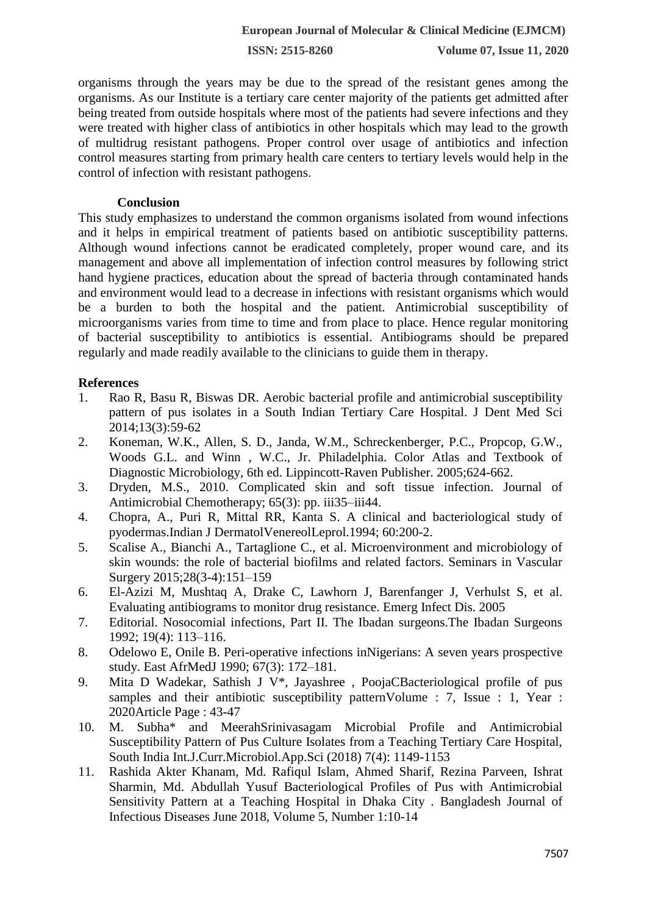organisms through the years may be due to the spread of the resistant genes among the organisms. As our Institute is a tertiary care center majority of the patients get admitted after being treated from outside hospitals where most of the patients had severe infections and they were treated with higher class of antibiotics in other hospitals which may lead to the growth of multidrug resistant pathogens. Proper control over usage of antibiotics and infection control measures starting from primary health care centers to tertiary levels would help in the control of infection with resistant pathogens.

#### **Conclusion**

This study emphasizes to understand the common organisms isolated from wound infections and it helps in empirical treatment of patients based on antibiotic susceptibility patterns. Although wound infections cannot be eradicated completely, proper wound care, and its management and above all implementation of infection control measures by following strict hand hygiene practices, education about the spread of bacteria through contaminated hands and environment would lead to a decrease in infections with resistant organisms which would be a burden to both the hospital and the patient. Antimicrobial susceptibility of microorganisms varies from time to time and from place to place. Hence regular monitoring of bacterial susceptibility to antibiotics is essential. Antibiograms should be prepared regularly and made readily available to the clinicians to guide them in therapy.

## **References**

- 1. Rao R, Basu R, Biswas DR. Aerobic bacterial profile and antimicrobial susceptibility pattern of pus isolates in a South Indian Tertiary Care Hospital. J Dent Med Sci 2014;13(3):59-62
- 2. Koneman, W.K., Allen, S. D., Janda, W.M., Schreckenberger, P.C., Propcop, G.W., Woods G.L. and Winn , W.C., Jr. Philadelphia. Color Atlas and Textbook of Diagnostic Microbiology, 6th ed. Lippincott-Raven Publisher. 2005;624-662.
- 3. Dryden, M.S., 2010. Complicated skin and soft tissue infection. Journal of Antimicrobial Chemotherapy; 65(3): pp. iii35–iii44.
- 4. Chopra, A., Puri R, Mittal RR, Kanta S. A clinical and bacteriological study of pyodermas.Indian J DermatolVenereolLeprol.1994; 60:200-2.
- 5. Scalise A., Bianchi A., Tartaglione C., et al. Microenvironment and microbiology of skin wounds: the role of bacterial biofilms and related factors. Seminars in Vascular Surgery 2015;28(3-4):151–159
- 6. El-Azizi M, Mushtaq A, Drake C, Lawhorn J, Barenfanger J, Verhulst S, et al. Evaluating antibiograms to monitor drug resistance. Emerg Infect Dis. 2005
- 7. Editorial. Nosocomial infections, Part II. The Ibadan surgeons.The Ibadan Surgeons 1992; 19(4): 113–116.
- 8. Odelowo E, Onile B. Peri-operative infections inNigerians: A seven years prospective study. East AfrMedJ 1990; 67(3): 172–181.
- 9. Mita D Wadekar, Sathish J V\*, Jayashree , PoojaCBacteriological profile of pus samples and their antibiotic susceptibility pattern Volume : 7, Issue : 1, Year : 2020Article Page : 43-47
- 10. M. Subha\* and MeerahSrinivasagam Microbial Profile and Antimicrobial Susceptibility Pattern of Pus Culture Isolates from a Teaching Tertiary Care Hospital, South India Int.J.Curr.Microbiol.App.Sci (2018) 7(4): 1149-1153
- 11. Rashida Akter Khanam, Md. Rafiqul Islam, Ahmed Sharif, Rezina Parveen, Ishrat Sharmin, Md. Abdullah Yusuf Bacteriological Profiles of Pus with Antimicrobial Sensitivity Pattern at a Teaching Hospital in Dhaka City . Bangladesh Journal of Infectious Diseases June 2018, Volume 5, Number 1:10-14